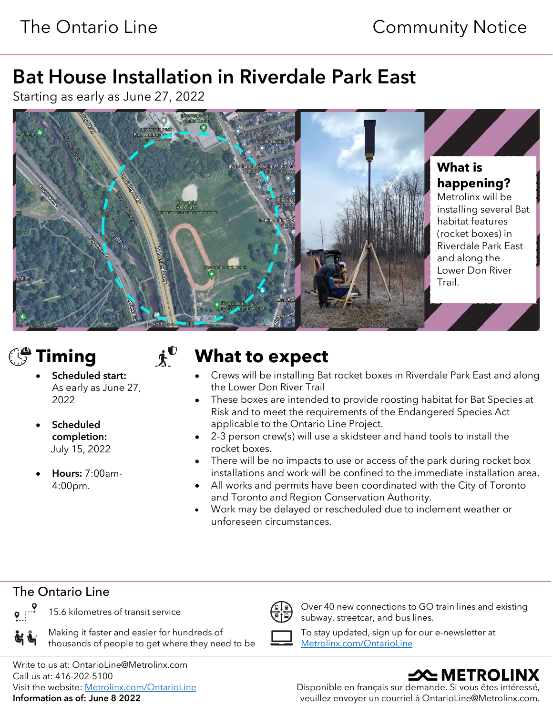## Bat House Installation in Riverdale Park East

Starting as early as June 27, 2022



- Scheduled start: As early as June 27, 2022
- Scheduled completion: July 15, 2022
- Hours: 7:00am-4:00pm.

# **Timing**  $\boldsymbol{\dot{\mathbf{x}}}^{\mathbf{0}}$  What to expect

- Crews will be installing Bat rocket boxes in Riverdale Park East and along the Lower Don River Trail
- These boxes are intended to provide roosting habitat for Bat Species at Risk and to meet the requirements of the Endangered Species Act applicable to the Ontario Line Project.
- 2-3 person crew(s) will use a skidsteer and hand tools to install the rocket boxes.
- There will be no impacts to use or access of the park during rocket box installations and work will be confined to the immediate installation area.
- All works and permits have been coordinated with the City of Toronto and Toronto and Region Conservation Authority.
- Work may be delayed or rescheduled due to inclement weather or unforeseen circumstances.

### The Ontario Line



自重

Making it faster and easier for hundreds of thousands of people to get where they need to be

15.6 kilometres of transit service  $\left(\begin{matrix} \frac{1}{8} \\ 0 \end{matrix}\right)$  Over 40 new connections to GO train lines and existing subway, streetcar, and bus lines.



To stay updated, sign up for our e-newsletter at [Metrolinx.com/OntarioLine](http://metrolinx.com/ontarioline)

Write to us at: OntarioLine@Metrolinx.com Call us at: 416-202-5100 Visit the website[: Metrolinx.com/OntarioLine](http://metrolinx.com/ontarioline) Information as of: June 8 2022

## $\triangle$  METROLINX

Disponible en français sur demande. Si vous êtes intéressé, veuillez envoyer un courriel à OntarioLine@Metrolinx.com.